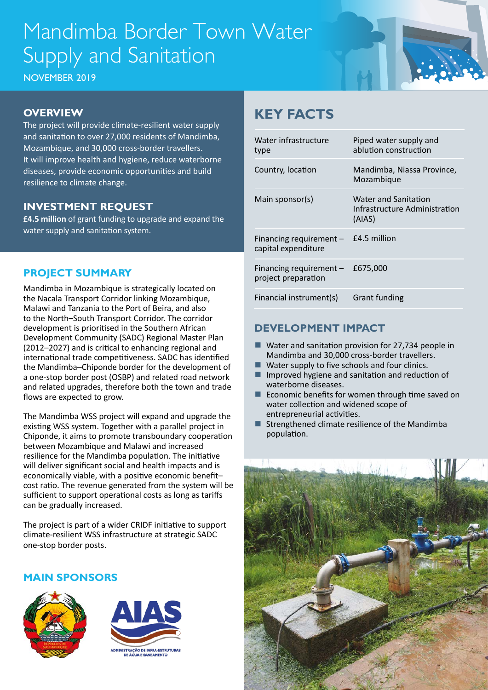# Mandimba Border Town Water Supply and Sanitation

NOVEMBER 2019

### **OVERVIEW**

The project will provide climate-resilient water supply and sanitation to over 27,000 residents of Mandimba, Mozambique, and 30,000 cross-border travellers. It will improve health and hygiene, reduce waterborne diseases, provide economic opportunities and build resilience to climate change.

### **INVESTMENT REQUEST**

**£4.5 million** of grant funding to upgrade and expand the water supply and sanitation system.

### **PROJECT SUMMARY**

Mandimba in Mozambique is strategically located on the Nacala Transport Corridor linking Mozambique, Malawi and Tanzania to the Port of Beira, and also to the North–South Transport Corridor. The corridor development is prioritised in the Southern African Development Community (SADC) Regional Master Plan (2012–2027) and is critical to enhancing regional and international trade competitiveness. SADC has identified the Mandimba–Chiponde border for the development of a one-stop border post (OSBP) and related road network and related upgrades, therefore both the town and trade flows are expected to grow.

The Mandimba WSS project will expand and upgrade the existing WSS system. Together with a parallel project in Chiponde, it aims to promote transboundary cooperation between Mozambique and Malawi and increased resilience for the Mandimba population. The initiative will deliver significant social and health impacts and is economically viable, with a positive economic benefit– cost ratio. The revenue generated from the system will be sufficient to support operational costs as long as tariffs can be gradually increased.

The project is part of a wider CRIDF initiative to support climate-resilient WSS infrastructure at strategic SADC one-stop border posts.

#### **MAIN SPONSORS**





### **KEY FACTS**

| Water infrastructure<br>type                     | Piped water supply and<br>ablution construction                        |
|--------------------------------------------------|------------------------------------------------------------------------|
| Country, location                                | Mandimba, Niassa Province,<br>Mozambique                               |
| Main sponsor(s)                                  | <b>Water and Sanitation</b><br>Infrastructure Administration<br>(AIAS) |
| Financing requirement $-$<br>capital expenditure | £4.5 million                                                           |
| Financing requirement $-$<br>project preparation | £675,000                                                               |
| Financial instrument(s)                          | <b>Grant funding</b>                                                   |

### **DEVELOPMENT IMPACT**

- $\blacksquare$  Water and sanitation provision for 27,734 people in Mandimba and 30,000 cross-border travellers.
- $\blacksquare$  Water supply to five schools and four clinics.
- $\blacksquare$  Improved hygiene and sanitation and reduction of waterborne diseases.
- $\blacksquare$  Economic benefits for women through time saved on water collection and widened scope of entrepreneurial activities.
- Strengthened climate resilience of the Mandimba population.